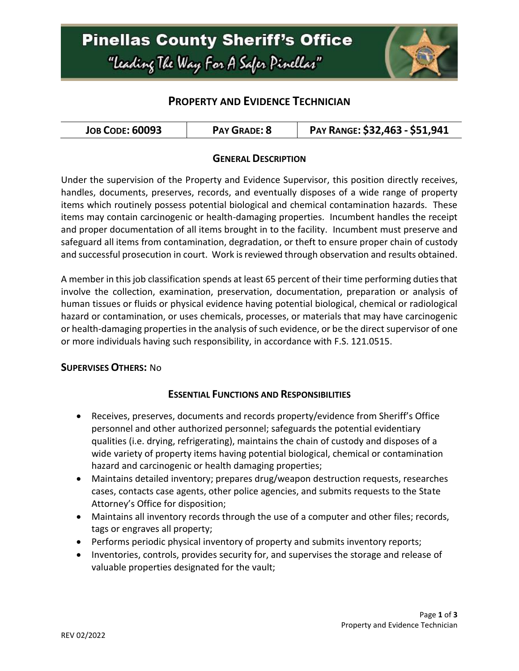### **Pinellas County Sheriff's Office** "Leading The Way For A Safer Pinellar"



### **PROPERTY AND EVIDENCE TECHNICIAN**

| <b>JOB CODE: 60093</b> | <b>PAY GRADE: 8</b> | PAY RANGE: \$32,463 - \$51,941 |
|------------------------|---------------------|--------------------------------|
|------------------------|---------------------|--------------------------------|

### **GENERAL DESCRIPTION**

Under the supervision of the Property and Evidence Supervisor, this position directly receives, handles, documents, preserves, records, and eventually disposes of a wide range of property items which routinely possess potential biological and chemical contamination hazards. These items may contain carcinogenic or health-damaging properties. Incumbent handles the receipt and proper documentation of all items brought in to the facility. Incumbent must preserve and safeguard all items from contamination, degradation, or theft to ensure proper chain of custody and successful prosecution in court. Work is reviewed through observation and results obtained.

A member in this job classification spends at least 65 percent of their time performing duties that involve the collection, examination, preservation, documentation, preparation or analysis of human tissues or fluids or physical evidence having potential biological, chemical or radiological hazard or contamination, or uses chemicals, processes, or materials that may have carcinogenic or health-damaging properties in the analysis of such evidence, or be the direct supervisor of one or more individuals having such responsibility, in accordance with F.S. 121.0515.

#### **SUPERVISES OTHERS:** No

#### **ESSENTIAL FUNCTIONS AND RESPONSIBILITIES**

- Receives, preserves, documents and records property/evidence from Sheriff's Office personnel and other authorized personnel; safeguards the potential evidentiary qualities (i.e. drying, refrigerating), maintains the chain of custody and disposes of a wide variety of property items having potential biological, chemical or contamination hazard and carcinogenic or health damaging properties;
- Maintains detailed inventory; prepares drug/weapon destruction requests, researches cases, contacts case agents, other police agencies, and submits requests to the State Attorney's Office for disposition;
- Maintains all inventory records through the use of a computer and other files; records, tags or engraves all property;
- Performs periodic physical inventory of property and submits inventory reports;
- Inventories, controls, provides security for, and supervises the storage and release of valuable properties designated for the vault;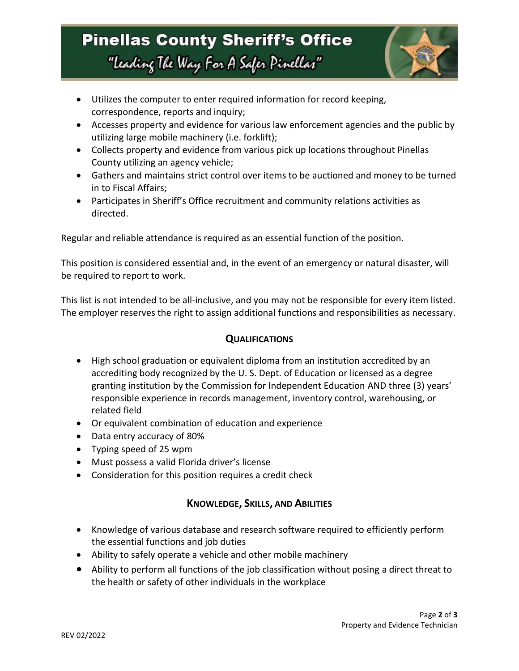# **Pinellas County Sheriff's Office** "Leading The Way For A Safer Pinellar"



- Utilizes the computer to enter required information for record keeping, correspondence, reports and inquiry;
- Accesses property and evidence for various law enforcement agencies and the public by utilizing large mobile machinery (i.e. forklift);
- Collects property and evidence from various pick up locations throughout Pinellas County utilizing an agency vehicle;
- Gathers and maintains strict control over items to be auctioned and money to be turned in to Fiscal Affairs;
- Participates in Sheriff's Office recruitment and community relations activities as directed.

Regular and reliable attendance is required as an essential function of the position.

This position is considered essential and, in the event of an emergency or natural disaster, will be required to report to work.

This list is not intended to be all-inclusive, and you may not be responsible for every item listed. The employer reserves the right to assign additional functions and responsibilities as necessary.

### **QUALIFICATIONS**

- High school graduation or equivalent diploma from an institution accredited by an accrediting body recognized by the U. S. Dept. of Education or licensed as a degree granting institution by the Commission for Independent Education AND three (3) years' responsible experience in records management, inventory control, warehousing, or related field
- Or equivalent combination of education and experience
- Data entry accuracy of 80%
- Typing speed of 25 wpm
- Must possess a valid Florida driver's license
- Consideration for this position requires a credit check

### **KNOWLEDGE, SKILLS, AND ABILITIES**

- Knowledge of various database and research software required to efficiently perform the essential functions and job duties
- Ability to safely operate a vehicle and other mobile machinery
- Ability to perform all functions of the job classification without posing a direct threat to the health or safety of other individuals in the workplace